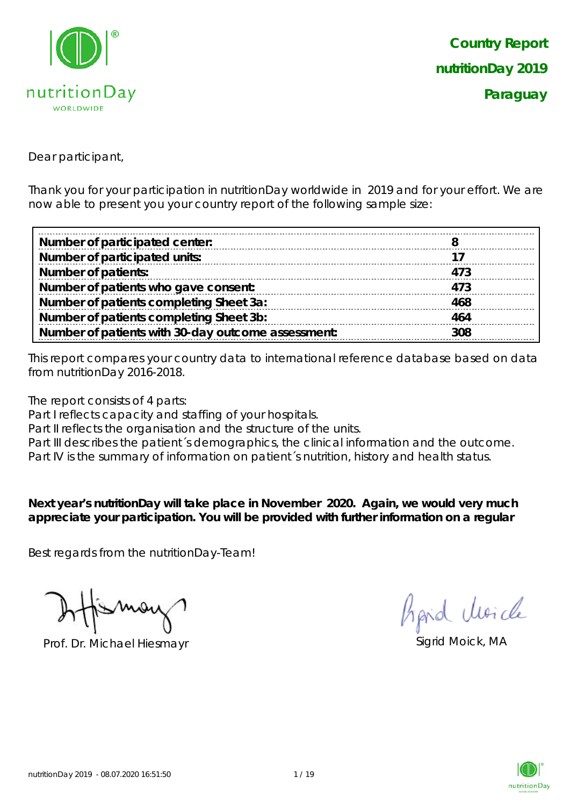

Dear participant,

Thank you for your participation in nutritionDay worldwide in 2019 and for your effort. We are now able to present you your country report of the following sample size:

| Number of participated center:                     |     |
|----------------------------------------------------|-----|
| Number of participated units:                      |     |
| <b>Number of patients:</b>                         | 473 |
| Number of patients who gave consent:               | 473 |
| Number of patients completing Sheet 3a:            | 468 |
| Number of patients completing Sheet 3b:            | 464 |
| Number of patients with 30-day outcome assessment: | 308 |

This report compares your country data to international reference database based on data from nutritionDay 2016-2018.

The report consists of 4 parts:

Part I reflects capacity and staffing of your hospitals.

Part II reflects the organisation and the structure of the units.

Part III describes the patient's demographics, the clinical information and the outcome.

Part IV is the summary of information on patient´s nutrition, history and health status.

**Next year's nutritionDay will take place in November 2020. Again, we would very much appreciate your participation. You will be provided with further information on a regular** 

Best regards from the nutritionDay-Team!

Prof. Dr. Michael Hiesmayr Sigrid Moick, MA

Aprid Moich

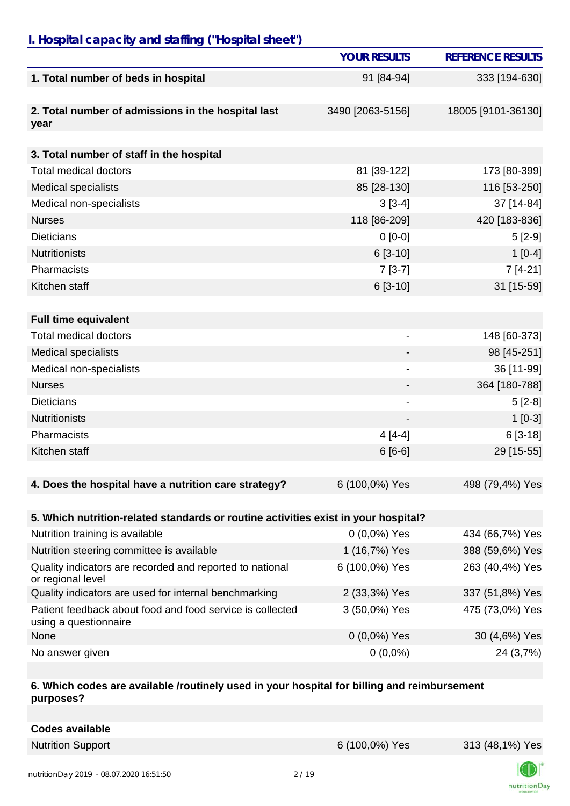### *I. Hospital capacity and staffing ("Hospital sheet")*

|                                                                                    | <b>YOUR RESULTS</b>      | <b>REFERENCE RESULTS</b> |
|------------------------------------------------------------------------------------|--------------------------|--------------------------|
| 1. Total number of beds in hospital                                                | 91 [84-94]               | 333 [194-630]            |
| 2. Total number of admissions in the hospital last<br>year                         | 3490 [2063-5156]         | 18005 [9101-36130]       |
|                                                                                    |                          |                          |
| 3. Total number of staff in the hospital                                           |                          |                          |
| Total medical doctors                                                              | 81 [39-122]              | 173 [80-399]             |
| <b>Medical specialists</b>                                                         | 85 [28-130]              | 116 [53-250]             |
| Medical non-specialists                                                            | $3[3-4]$                 | 37 [14-84]               |
| <b>Nurses</b>                                                                      | 118 [86-209]             | 420 [183-836]            |
| <b>Dieticians</b>                                                                  | $0 [0-0]$                | $5[2-9]$                 |
| <b>Nutritionists</b>                                                               | $6[3-10]$                | $1[0-4]$                 |
| Pharmacists                                                                        | $7[3-7]$                 | $7[4-21]$                |
| Kitchen staff                                                                      | $6[3-10]$                | 31 [15-59]               |
|                                                                                    |                          |                          |
| <b>Full time equivalent</b>                                                        |                          |                          |
| Total medical doctors                                                              | $\overline{\phantom{a}}$ | 148 [60-373]             |
| <b>Medical specialists</b>                                                         |                          | 98 [45-251]              |
| Medical non-specialists                                                            |                          | 36 [11-99]               |
| <b>Nurses</b>                                                                      |                          | 364 [180-788]            |
| <b>Dieticians</b>                                                                  | $\overline{\phantom{a}}$ | $5[2-8]$                 |
| <b>Nutritionists</b>                                                               | $\overline{\phantom{0}}$ | $1[0-3]$                 |
| Pharmacists                                                                        | $4[4-4]$                 | $6[3-18]$                |
| Kitchen staff                                                                      | $6[6-6]$                 | 29 [15-55]               |
|                                                                                    |                          |                          |
| 4. Does the hospital have a nutrition care strategy?                               | 6 (100,0%) Yes           | 498 (79,4%) Yes          |
|                                                                                    |                          |                          |
| 5. Which nutrition-related standards or routine activities exist in your hospital? |                          |                          |
| Nutrition training is available                                                    | $0(0,0\%)$ Yes           | 434 (66,7%) Yes          |
| Nutrition steering committee is available                                          | 1 (16,7%) Yes            | 388 (59,6%) Yes          |
| Quality indicators are recorded and reported to national<br>or regional level      | 6 (100,0%) Yes           | 263 (40,4%) Yes          |
| Quality indicators are used for internal benchmarking                              | 2 (33,3%) Yes            | 337 (51,8%) Yes          |
| Patient feedback about food and food service is collected<br>using a questionnaire | 3 (50,0%) Yes            | 475 (73,0%) Yes          |
| None                                                                               | $0(0,0\%)$ Yes           | 30 (4,6%) Yes            |
| No answer given                                                                    | $0(0,0\%)$               | 24 (3,7%)                |

#### **6. Which codes are available /routinely used in your hospital for billing and reimbursement purposes?**

| Codes available          |                |                 |
|--------------------------|----------------|-----------------|
| <b>Nutrition Support</b> | 6 (100,0%) Yes | 313 (48,1%) Yes |

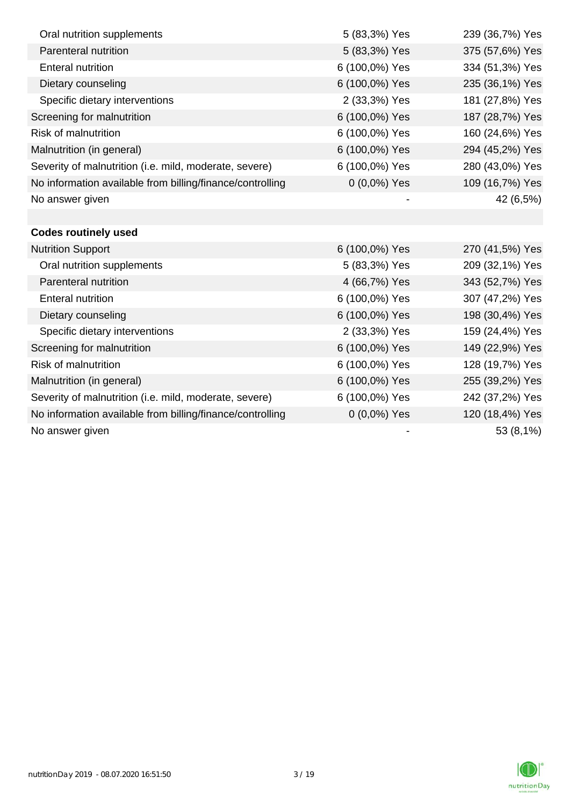| Oral nutrition supplements                                | 5 (83,3%) Yes  | 239 (36,7%) Yes |
|-----------------------------------------------------------|----------------|-----------------|
| Parenteral nutrition                                      | 5 (83,3%) Yes  | 375 (57,6%) Yes |
| <b>Enteral nutrition</b>                                  | 6 (100,0%) Yes | 334 (51,3%) Yes |
| Dietary counseling                                        | 6 (100,0%) Yes | 235 (36,1%) Yes |
| Specific dietary interventions                            | 2 (33,3%) Yes  | 181 (27,8%) Yes |
| Screening for malnutrition                                | 6 (100,0%) Yes | 187 (28,7%) Yes |
| <b>Risk of malnutrition</b>                               | 6 (100,0%) Yes | 160 (24,6%) Yes |
| Malnutrition (in general)                                 | 6 (100,0%) Yes | 294 (45,2%) Yes |
| Severity of malnutrition (i.e. mild, moderate, severe)    | 6 (100,0%) Yes | 280 (43,0%) Yes |
| No information available from billing/finance/controlling | $0(0,0\%)$ Yes | 109 (16,7%) Yes |
| No answer given                                           |                | 42 (6,5%)       |
|                                                           |                |                 |
| <b>Codes routinely used</b>                               |                |                 |
| <b>Nutrition Support</b>                                  | 6 (100,0%) Yes | 270 (41,5%) Yes |
| Oral nutrition supplements                                | 5 (83,3%) Yes  | 209 (32,1%) Yes |
| Parenteral nutrition                                      | 4 (66,7%) Yes  | 343 (52,7%) Yes |
| <b>Enteral nutrition</b>                                  | 6 (100,0%) Yes | 307 (47,2%) Yes |
| Dietary counseling                                        | 6 (100,0%) Yes | 198 (30,4%) Yes |
| Specific dietary interventions                            | 2 (33,3%) Yes  | 159 (24,4%) Yes |
| Screening for malnutrition                                | 6 (100,0%) Yes | 149 (22,9%) Yes |
| <b>Risk of malnutrition</b>                               | 6 (100,0%) Yes | 128 (19,7%) Yes |
| Malnutrition (in general)                                 | 6 (100,0%) Yes | 255 (39,2%) Yes |
| Severity of malnutrition (i.e. mild, moderate, severe)    | 6 (100,0%) Yes | 242 (37,2%) Yes |
| No information available from billing/finance/controlling | 0 (0,0%) Yes   | 120 (18,4%) Yes |
| No answer given                                           |                | 53 (8,1%)       |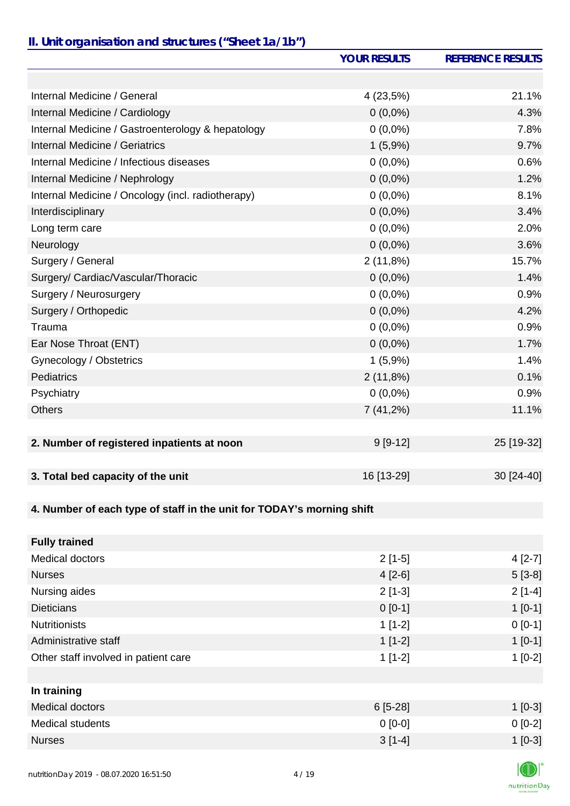# *II. Unit organisation and structures ("Sheet 1a/1b")*

|                                                                       | <b>YOUR RESULTS</b> | <b>REFERENCE RESULTS</b> |
|-----------------------------------------------------------------------|---------------------|--------------------------|
|                                                                       |                     |                          |
| Internal Medicine / General                                           | 4(23,5%)            | 21.1%                    |
| Internal Medicine / Cardiology                                        | $0(0,0\%)$          | 4.3%                     |
| Internal Medicine / Gastroenterology & hepatology                     | $0(0,0\%)$          | 7.8%                     |
| <b>Internal Medicine / Geriatrics</b>                                 | 1(5,9%)             | 9.7%                     |
| Internal Medicine / Infectious diseases                               | $0(0,0\%)$          | 0.6%                     |
| Internal Medicine / Nephrology                                        | $0(0,0\%)$          | 1.2%                     |
| Internal Medicine / Oncology (incl. radiotherapy)                     | $0(0,0\%)$          | 8.1%                     |
| Interdisciplinary                                                     | $0(0,0\%)$          | 3.4%                     |
| Long term care                                                        | $0(0,0\%)$          | 2.0%                     |
| Neurology                                                             | $0(0,0\%)$          | 3.6%                     |
| Surgery / General                                                     | 2(11,8%)            | 15.7%                    |
| Surgery/ Cardiac/Vascular/Thoracic                                    | $0(0,0\%)$          | 1.4%                     |
| Surgery / Neurosurgery                                                | $0(0,0\%)$          | 0.9%                     |
| Surgery / Orthopedic                                                  | $0(0,0\%)$          | 4.2%                     |
| Trauma                                                                | $0(0,0\%)$          | 0.9%                     |
| Ear Nose Throat (ENT)                                                 | $0(0,0\%)$          | 1.7%                     |
| Gynecology / Obstetrics                                               | 1(5,9%)             | 1.4%                     |
| <b>Pediatrics</b>                                                     | 2(11,8%)            | 0.1%                     |
| Psychiatry                                                            | $0(0,0\%)$          | 0.9%                     |
| <b>Others</b>                                                         | 7(41,2%)            | 11.1%                    |
|                                                                       |                     |                          |
| 2. Number of registered inpatients at noon                            | $9[9-12]$           | 25 [19-32]               |
|                                                                       |                     |                          |
| 3. Total bed capacity of the unit                                     | 16 [13-29]          | 30 [24-40]               |
|                                                                       |                     |                          |
| 4. Number of each type of staff in the unit for TODAY's morning shift |                     |                          |
|                                                                       |                     |                          |
| <b>Fully trained</b>                                                  |                     |                          |
| Medical doctors                                                       | $2[1-5]$            | $4[2-7]$                 |
| <b>Nurses</b>                                                         | $4[2-6]$            | $5[3-8]$                 |
| Nursing aides                                                         | $2[1-3]$            | $2[1-4]$                 |
| <b>Dieticians</b>                                                     | $0[0-1]$            | $1[0-1]$                 |
| <b>Nutritionists</b>                                                  | $1[1-2]$            | $0[0-1]$                 |
| Administrative staff                                                  | $1[1-2]$            | $1[0-1]$                 |
| Other staff involved in patient care                                  | $1[1-2]$            | $1[0-2]$                 |
|                                                                       |                     |                          |
| In training                                                           |                     |                          |
| <b>Medical doctors</b>                                                | $6[5-28]$           | $1[0-3]$                 |
| Medical students                                                      | $0 [0-0]$           | $0[0-2]$                 |
| <b>Nurses</b>                                                         | $3[1-4]$            | $1[0-3]$                 |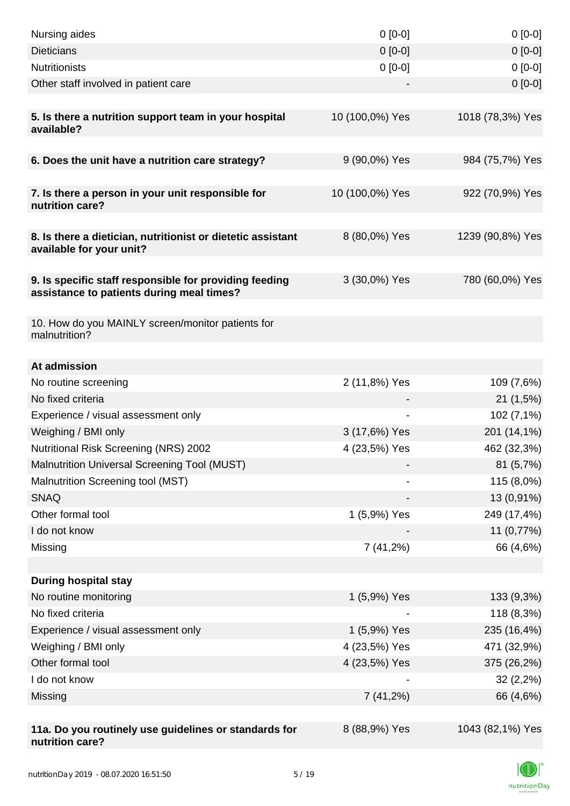| Nursing aides                                                                                       | $0 [0-0]$       | $0[0-0]$         |
|-----------------------------------------------------------------------------------------------------|-----------------|------------------|
| <b>Dieticians</b>                                                                                   | $0 [0-0]$       | $0[0-0]$         |
| <b>Nutritionists</b>                                                                                | $0 [0-0]$       | $0[0-0]$         |
| Other staff involved in patient care                                                                |                 | $0[0-0]$         |
| 5. Is there a nutrition support team in your hospital<br>available?                                 | 10 (100,0%) Yes | 1018 (78,3%) Yes |
| 6. Does the unit have a nutrition care strategy?                                                    | 9 (90,0%) Yes   | 984 (75,7%) Yes  |
| 7. Is there a person in your unit responsible for<br>nutrition care?                                | 10 (100,0%) Yes | 922 (70,9%) Yes  |
| 8. Is there a dietician, nutritionist or dietetic assistant<br>available for your unit?             | 8 (80,0%) Yes   | 1239 (90,8%) Yes |
| 9. Is specific staff responsible for providing feeding<br>assistance to patients during meal times? | 3 (30,0%) Yes   | 780 (60,0%) Yes  |
| 10. How do you MAINLY screen/monitor patients for<br>malnutrition?                                  |                 |                  |
| At admission                                                                                        |                 |                  |
| No routine screening                                                                                | 2 (11,8%) Yes   | 109 (7,6%)       |
| No fixed criteria                                                                                   |                 | 21(1,5%)         |
| Experience / visual assessment only                                                                 |                 | 102 (7,1%)       |
| Weighing / BMI only                                                                                 | 3 (17,6%) Yes   | 201 (14,1%)      |
| Nutritional Risk Screening (NRS) 2002                                                               | 4 (23,5%) Yes   | 462 (32,3%)      |
| Malnutrition Universal Screening Tool (MUST)                                                        |                 | 81(5,7%)         |
| Malnutrition Screening tool (MST)                                                                   |                 | 115 (8,0%)       |
| <b>SNAQ</b>                                                                                         |                 | 13 (0,91%)       |
| Other formal tool                                                                                   | 1 (5,9%) Yes    | 249 (17,4%)      |
| I do not know                                                                                       |                 | 11 (0,77%)       |
| Missing                                                                                             | 7(41,2%)        | 66 (4,6%)        |
|                                                                                                     |                 |                  |
| <b>During hospital stay</b>                                                                         |                 |                  |
| No routine monitoring                                                                               | 1 (5,9%) Yes    | 133 (9,3%)       |
| No fixed criteria                                                                                   |                 | 118 (8,3%)       |
| Experience / visual assessment only                                                                 | 1 (5,9%) Yes    | 235 (16,4%)      |
| Weighing / BMI only                                                                                 | 4 (23,5%) Yes   | 471 (32,9%)      |
| Other formal tool                                                                                   | 4 (23,5%) Yes   | 375 (26,2%)      |
| I do not know                                                                                       |                 | 32(2,2%)         |
| Missing                                                                                             | $7(41,2\%)$     | 66 (4,6%)        |
|                                                                                                     |                 |                  |
| 11a. Do you routinely use guidelines or standards for<br>nutrition care?                            | 8 (88,9%) Yes   | 1043 (82,1%) Yes |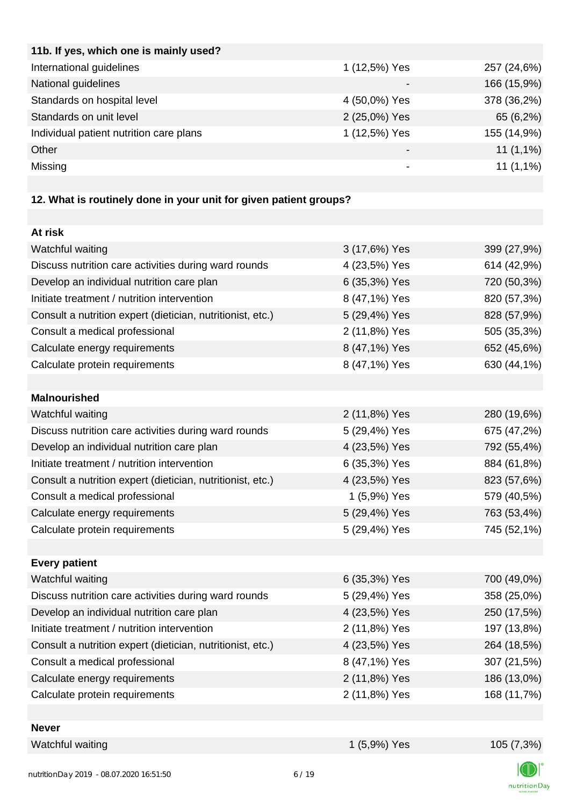| 11b. If yes, which one is mainly used?  |               |             |
|-----------------------------------------|---------------|-------------|
| International guidelines                | 1 (12,5%) Yes | 257 (24,6%) |
| National guidelines                     |               | 166 (15,9%) |
| Standards on hospital level             | 4 (50,0%) Yes | 378 (36,2%) |
| Standards on unit level                 | 2 (25,0%) Yes | 65 (6,2%)   |
| Individual patient nutrition care plans | 1 (12,5%) Yes | 155 (14,9%) |
| Other                                   |               | $11(1,1\%)$ |
| Missing                                 |               | $11(1,1\%)$ |
|                                         |               |             |

# **12. What is routinely done in your unit for given patient groups?**

| At risk                                                    |               |             |
|------------------------------------------------------------|---------------|-------------|
| Watchful waiting                                           | 3 (17,6%) Yes | 399 (27,9%) |
| Discuss nutrition care activities during ward rounds       | 4 (23,5%) Yes | 614 (42,9%) |
| Develop an individual nutrition care plan                  | 6 (35,3%) Yes | 720 (50,3%) |
| Initiate treatment / nutrition intervention                | 8 (47,1%) Yes | 820 (57,3%) |
| Consult a nutrition expert (dietician, nutritionist, etc.) | 5 (29,4%) Yes | 828 (57,9%) |
| Consult a medical professional                             | 2 (11,8%) Yes | 505 (35,3%) |
| Calculate energy requirements                              | 8 (47,1%) Yes | 652 (45,6%) |
| Calculate protein requirements                             | 8 (47,1%) Yes | 630 (44,1%) |
|                                                            |               |             |
| <b>Malnourished</b>                                        |               |             |
| Watchful waiting                                           | 2 (11,8%) Yes | 280 (19,6%) |
| Discuss nutrition care activities during ward rounds       | 5 (29,4%) Yes | 675 (47,2%) |
| Develop an individual nutrition care plan                  | 4 (23,5%) Yes | 792 (55,4%) |
| Initiate treatment / nutrition intervention                | 6 (35,3%) Yes | 884 (61,8%) |
| Consult a nutrition expert (dietician, nutritionist, etc.) | 4 (23,5%) Yes | 823 (57,6%) |
| Consult a medical professional                             | 1 (5,9%) Yes  | 579 (40,5%) |
| Calculate energy requirements                              | 5 (29,4%) Yes | 763 (53,4%) |
| Calculate protein requirements                             | 5 (29,4%) Yes | 745 (52,1%) |
|                                                            |               |             |
| <b>Every patient</b>                                       |               |             |
| Watchful waiting                                           | 6 (35,3%) Yes | 700 (49,0%) |
| Discuss nutrition care activities during ward rounds       | 5 (29,4%) Yes | 358 (25,0%) |
| Develop an individual nutrition care plan                  | 4 (23,5%) Yes | 250 (17,5%) |
| Initiate treatment / nutrition intervention                | 2 (11,8%) Yes | 197 (13,8%) |
| Consult a nutrition expert (dietician, nutritionist, etc.) | 4 (23,5%) Yes | 264 (18,5%) |
| Consult a medical professional                             | 8 (47,1%) Yes | 307 (21,5%) |
| Calculate energy requirements                              | 2 (11,8%) Yes | 186 (13,0%) |
| Calculate protein requirements                             | 2 (11,8%) Yes | 168 (11,7%) |
|                                                            |               |             |
| <b>Never</b>                                               |               |             |
| Watchful waiting                                           | 1 (5,9%) Yes  | 105 (7,3%)  |

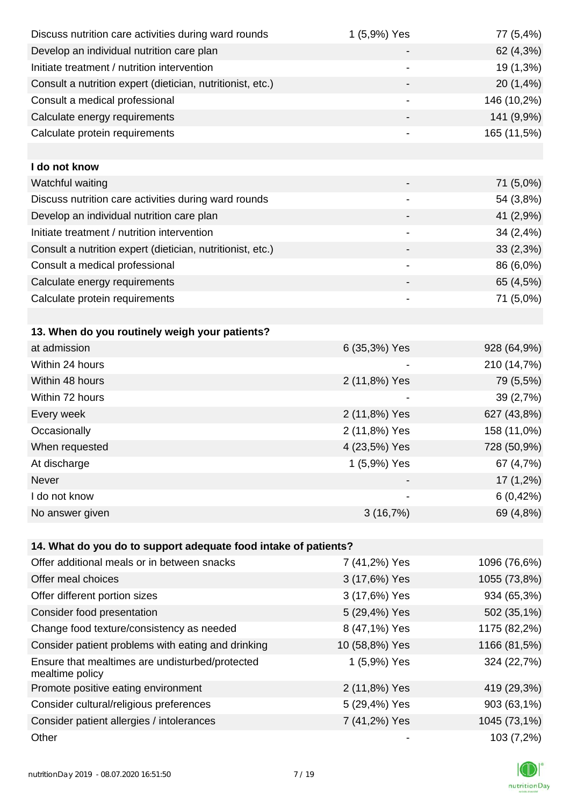| Discuss nutrition care activities during ward rounds               | 1 (5,9%) Yes                 | 77 (5,4%)    |
|--------------------------------------------------------------------|------------------------------|--------------|
| Develop an individual nutrition care plan                          |                              | 62 (4,3%)    |
| Initiate treatment / nutrition intervention                        |                              | 19 (1,3%)    |
| Consult a nutrition expert (dietician, nutritionist, etc.)         |                              | 20 (1,4%)    |
| Consult a medical professional                                     | -                            | 146 (10,2%)  |
| Calculate energy requirements                                      |                              | 141 (9,9%)   |
| Calculate protein requirements                                     | $\qquad \qquad \blacksquare$ | 165 (11,5%)  |
|                                                                    |                              |              |
| I do not know                                                      |                              |              |
| Watchful waiting                                                   |                              | 71 (5,0%)    |
| Discuss nutrition care activities during ward rounds               |                              | 54 (3,8%)    |
| Develop an individual nutrition care plan                          |                              | 41 (2,9%)    |
| Initiate treatment / nutrition intervention                        |                              | 34(2,4%)     |
| Consult a nutrition expert (dietician, nutritionist, etc.)         |                              | 33(2,3%)     |
| Consult a medical professional                                     | $\qquad \qquad \blacksquare$ | 86 (6,0%)    |
| Calculate energy requirements                                      |                              | 65 (4,5%)    |
| Calculate protein requirements                                     |                              | 71 (5,0%)    |
|                                                                    |                              |              |
| 13. When do you routinely weigh your patients?                     |                              |              |
| at admission                                                       | 6 (35,3%) Yes                | 928 (64,9%)  |
| Within 24 hours                                                    |                              | 210 (14,7%)  |
| Within 48 hours                                                    | 2 (11,8%) Yes                | 79 (5,5%)    |
| Within 72 hours                                                    |                              | 39 (2,7%)    |
| Every week                                                         | 2 (11,8%) Yes                | 627 (43,8%)  |
| Occasionally                                                       | 2 (11,8%) Yes                | 158 (11,0%)  |
| When requested                                                     | 4 (23,5%) Yes                | 728 (50,9%)  |
| At discharge                                                       | 1 (5,9%) Yes                 | 67 (4,7%)    |
| Never                                                              |                              | 17 (1,2%)    |
| I do not know                                                      |                              | 6(0,42%)     |
| No answer given                                                    | 3(16,7%)                     | 69 (4,8%)    |
|                                                                    |                              |              |
| 14. What do you do to support adequate food intake of patients?    |                              |              |
| Offer additional meals or in between snacks                        | 7 (41,2%) Yes                | 1096 (76,6%) |
| Offer meal choices                                                 | 3 (17,6%) Yes                | 1055 (73,8%) |
| Offer different portion sizes                                      | 3 (17,6%) Yes                | 934 (65,3%)  |
| Consider food presentation                                         | 5 (29,4%) Yes                | 502 (35,1%)  |
| Change food texture/consistency as needed                          | 8 (47,1%) Yes                | 1175 (82,2%) |
| Consider patient problems with eating and drinking                 | 10 (58,8%) Yes               | 1166 (81,5%) |
| Ensure that mealtimes are undisturbed/protected<br>mealtime policy | 1 (5,9%) Yes                 | 324 (22,7%)  |
| Promote positive eating environment                                | 2 (11,8%) Yes                | 419 (29,3%)  |
| Consider cultural/religious preferences                            | 5 (29,4%) Yes                | 903 (63,1%)  |
| Consider patient allergies / intolerances                          | 7 (41,2%) Yes                | 1045 (73,1%) |
| Other                                                              |                              | 103 (7,2%)   |

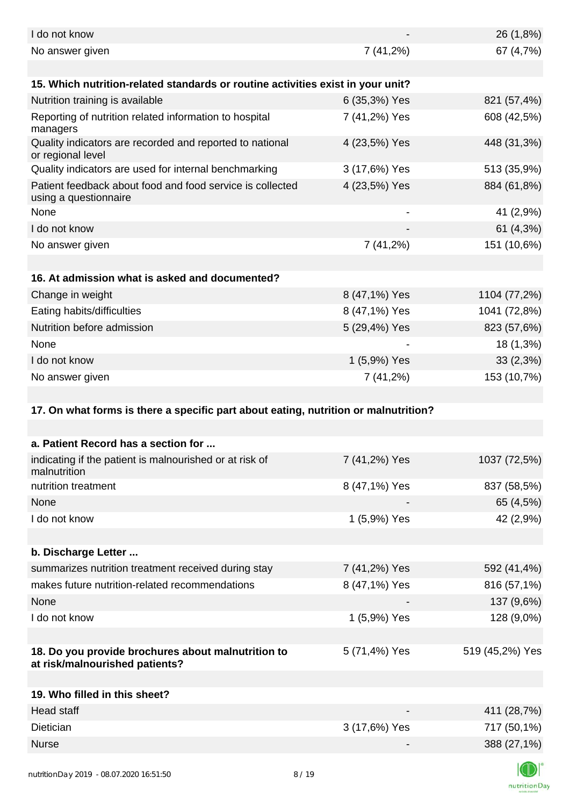| I do not know                                                                        |               | 26 (1,8%)       |
|--------------------------------------------------------------------------------------|---------------|-----------------|
| No answer given                                                                      | 7(41,2%)      | 67 (4,7%)       |
|                                                                                      |               |                 |
| 15. Which nutrition-related standards or routine activities exist in your unit?      |               |                 |
| Nutrition training is available                                                      | 6 (35,3%) Yes | 821 (57,4%)     |
| Reporting of nutrition related information to hospital<br>managers                   | 7 (41,2%) Yes | 608 (42,5%)     |
| Quality indicators are recorded and reported to national<br>or regional level        | 4 (23,5%) Yes | 448 (31,3%)     |
| Quality indicators are used for internal benchmarking                                | 3 (17,6%) Yes | 513 (35,9%)     |
| Patient feedback about food and food service is collected<br>using a questionnaire   | 4 (23,5%) Yes | 884 (61,8%)     |
| None                                                                                 |               | 41 (2,9%)       |
| I do not know                                                                        |               | 61 (4,3%)       |
| No answer given                                                                      | 7(41,2%)      | 151 (10,6%)     |
|                                                                                      |               |                 |
| 16. At admission what is asked and documented?                                       |               |                 |
| Change in weight                                                                     | 8 (47,1%) Yes | 1104 (77,2%)    |
| Eating habits/difficulties                                                           | 8 (47,1%) Yes | 1041 (72,8%)    |
| Nutrition before admission                                                           | 5 (29,4%) Yes | 823 (57,6%)     |
| None                                                                                 |               | 18 (1,3%)       |
| I do not know                                                                        | 1 (5,9%) Yes  | 33(2,3%)        |
| No answer given                                                                      | 7(41,2%)      | 153 (10,7%)     |
|                                                                                      |               |                 |
| 17. On what forms is there a specific part about eating, nutrition or malnutrition?  |               |                 |
|                                                                                      |               |                 |
| a. Patient Record has a section for                                                  |               |                 |
| indicating if the patient is malnourished or at risk of<br>malnutrition              | 7 (41,2%) Yes | 1037 (72,5%)    |
| nutrition treatment                                                                  | 8 (47,1%) Yes | 837 (58,5%)     |
| None                                                                                 |               | 65 (4,5%)       |
| I do not know                                                                        | 1 (5,9%) Yes  | 42 (2,9%)       |
|                                                                                      |               |                 |
| b. Discharge Letter                                                                  |               |                 |
| summarizes nutrition treatment received during stay                                  | 7 (41,2%) Yes | 592 (41,4%)     |
| makes future nutrition-related recommendations                                       | 8 (47,1%) Yes | 816 (57,1%)     |
| None                                                                                 |               | 137 (9,6%)      |
| I do not know                                                                        | 1 (5,9%) Yes  | 128 (9,0%)      |
|                                                                                      |               |                 |
| 18. Do you provide brochures about malnutrition to<br>at risk/malnourished patients? | 5 (71,4%) Yes | 519 (45,2%) Yes |
| 19. Who filled in this sheet?                                                        |               |                 |
| <b>Head staff</b>                                                                    |               | 411 (28,7%)     |
| Dietician                                                                            | 3 (17,6%) Yes | 717 (50,1%)     |
| <b>Nurse</b>                                                                         |               | 388 (27,1%)     |
|                                                                                      |               | $\Box$          |
|                                                                                      |               |                 |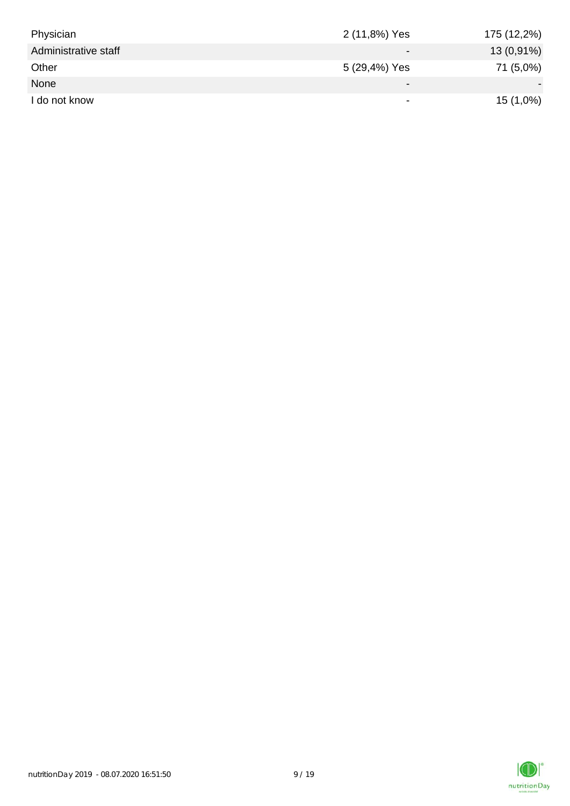| Physician            | 2 (11,8%) Yes            | 175 (12,2%) |
|----------------------|--------------------------|-------------|
| Administrative staff | $\overline{\phantom{0}}$ | 13 (0,91%)  |
| Other                | 5 (29,4%) Yes            | 71 (5,0%)   |
| None                 | $\overline{\phantom{0}}$ |             |
| I do not know        | $\overline{\phantom{a}}$ | $15(1,0\%)$ |

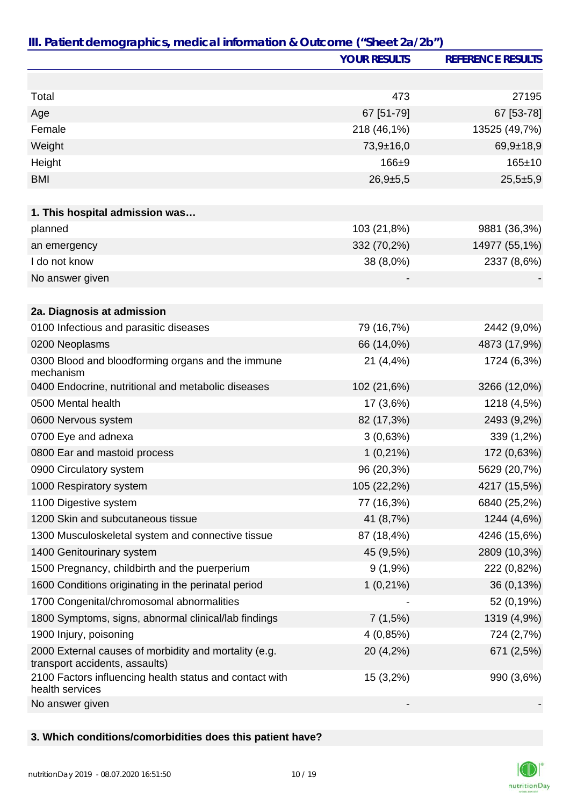|                                                                                         | <b>YOUR RESULTS</b> | <b>REFERENCE RESULTS</b> |
|-----------------------------------------------------------------------------------------|---------------------|--------------------------|
|                                                                                         |                     |                          |
| Total                                                                                   | 473                 | 27195                    |
| Age                                                                                     | 67 [51-79]          | 67 [53-78]               |
| Female                                                                                  | 218 (46,1%)         | 13525 (49,7%)            |
| Weight                                                                                  | $73,9+16,0$         | $69,9+18,9$              |
| Height                                                                                  | $166 + 9$           | $165 \pm 10$             |
| <b>BMI</b>                                                                              | $26,9+5,5$          | $25,5+5,9$               |
|                                                                                         |                     |                          |
| 1. This hospital admission was                                                          |                     |                          |
| planned                                                                                 | 103 (21,8%)         | 9881 (36,3%)             |
| an emergency                                                                            | 332 (70,2%)         | 14977 (55,1%)            |
| I do not know                                                                           | 38 (8,0%)           | 2337 (8,6%)              |
| No answer given                                                                         |                     |                          |
|                                                                                         |                     |                          |
| 2a. Diagnosis at admission                                                              |                     |                          |
| 0100 Infectious and parasitic diseases                                                  | 79 (16,7%)          | 2442 (9,0%)              |
| 0200 Neoplasms                                                                          | 66 (14,0%)          | 4873 (17,9%)             |
| 0300 Blood and bloodforming organs and the immune<br>mechanism                          | 21 (4,4%)           | 1724 (6,3%)              |
| 0400 Endocrine, nutritional and metabolic diseases                                      | 102 (21,6%)         | 3266 (12,0%)             |
| 0500 Mental health                                                                      | 17 (3,6%)           | 1218 (4,5%)              |
| 0600 Nervous system                                                                     | 82 (17,3%)          | 2493 (9,2%)              |
| 0700 Eye and adnexa                                                                     | 3(0,63%)            | 339 (1,2%)               |
| 0800 Ear and mastoid process                                                            | $1(0,21\%)$         | 172 (0,63%)              |
| 0900 Circulatory system                                                                 | 96 (20,3%)          | 5629 (20,7%)             |
| 1000 Respiratory system                                                                 | 105 (22,2%)         | 4217 (15,5%)             |
| 1100 Digestive system                                                                   | 77 (16,3%)          | 6840 (25,2%)             |
| 1200 Skin and subcutaneous tissue                                                       | 41 (8,7%)           | 1244 (4,6%)              |
| 1300 Musculoskeletal system and connective tissue                                       | 87 (18,4%)          | 4246 (15,6%)             |
| 1400 Genitourinary system                                                               | 45 (9,5%)           | 2809 (10,3%)             |
| 1500 Pregnancy, childbirth and the puerperium                                           | $9(1,9\%)$          | 222 (0,82%)              |
| 1600 Conditions originating in the perinatal period                                     | $1(0,21\%)$         | 36 (0,13%)               |
| 1700 Congenital/chromosomal abnormalities                                               |                     | 52 (0,19%)               |
| 1800 Symptoms, signs, abnormal clinical/lab findings                                    | 7(1,5%)             | 1319 (4,9%)              |
| 1900 Injury, poisoning                                                                  | 4(0,85%)            | 724 (2,7%)               |
| 2000 External causes of morbidity and mortality (e.g.<br>transport accidents, assaults) | 20 (4,2%)           | 671 (2,5%)               |
| 2100 Factors influencing health status and contact with<br>health services              | 15 (3,2%)           | 990 (3,6%)               |
| No answer given                                                                         |                     |                          |

#### **3. Which conditions/comorbidities does this patient have?**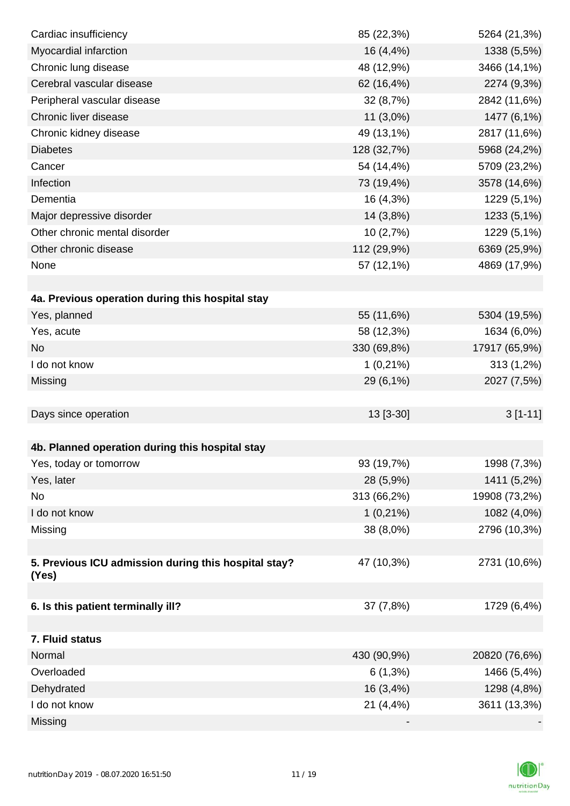| Cardiac insufficiency                                | 85 (22,3%)  | 5264 (21,3%)  |
|------------------------------------------------------|-------------|---------------|
| Myocardial infarction                                | 16 (4,4%)   | 1338 (5,5%)   |
| Chronic lung disease                                 | 48 (12,9%)  | 3466 (14,1%)  |
| Cerebral vascular disease                            | 62 (16,4%)  | 2274 (9,3%)   |
| Peripheral vascular disease                          | 32 (8,7%)   | 2842 (11,6%)  |
| Chronic liver disease                                | 11 (3,0%)   | 1477 (6,1%)   |
| Chronic kidney disease                               | 49 (13,1%)  | 2817 (11,6%)  |
| <b>Diabetes</b>                                      | 128 (32,7%) | 5968 (24,2%)  |
| Cancer                                               | 54 (14,4%)  | 5709 (23,2%)  |
| Infection                                            | 73 (19,4%)  | 3578 (14,6%)  |
| Dementia                                             | 16 (4,3%)   | 1229 (5,1%)   |
| Major depressive disorder                            | 14 (3,8%)   | 1233 (5,1%)   |
| Other chronic mental disorder                        | 10(2,7%)    | 1229 (5,1%)   |
| Other chronic disease                                | 112 (29,9%) | 6369 (25,9%)  |
| None                                                 | 57 (12,1%)  | 4869 (17,9%)  |
|                                                      |             |               |
| 4a. Previous operation during this hospital stay     |             |               |
| Yes, planned                                         | 55 (11,6%)  | 5304 (19,5%)  |
| Yes, acute                                           | 58 (12,3%)  | 1634 (6,0%)   |
| <b>No</b>                                            | 330 (69,8%) | 17917 (65,9%) |
| I do not know                                        | $1(0,21\%)$ | 313 (1,2%)    |
| Missing                                              | 29 (6,1%)   | 2027 (7,5%)   |
|                                                      |             |               |
| Days since operation                                 | 13 [3-30]   | $3[1-11]$     |
|                                                      |             |               |
| 4b. Planned operation during this hospital stay      |             |               |
| Yes, today or tomorrow                               | 93 (19,7%)  | 1998 (7,3%)   |
| Yes, later                                           | 28 (5,9%)   | 1411 (5,2%)   |
| No                                                   | 313 (66,2%) | 19908 (73,2%) |
| I do not know                                        | $1(0,21\%)$ | 1082 (4,0%)   |
| Missing                                              | 38 (8,0%)   | 2796 (10,3%)  |
|                                                      |             |               |
| 5. Previous ICU admission during this hospital stay? | 47 (10,3%)  | 2731 (10,6%)  |
| (Yes)                                                |             |               |
|                                                      |             |               |
| 6. Is this patient terminally ill?                   | 37 (7,8%)   | 1729 (6,4%)   |
|                                                      |             |               |
| 7. Fluid status                                      |             |               |
| Normal                                               | 430 (90,9%) | 20820 (76,6%) |
| Overloaded                                           | $6(1,3\%)$  | 1466 (5,4%)   |
| Dehydrated                                           | 16 (3,4%)   | 1298 (4,8%)   |
| I do not know                                        | 21 (4,4%)   | 3611 (13,3%)  |
| Missing                                              |             |               |

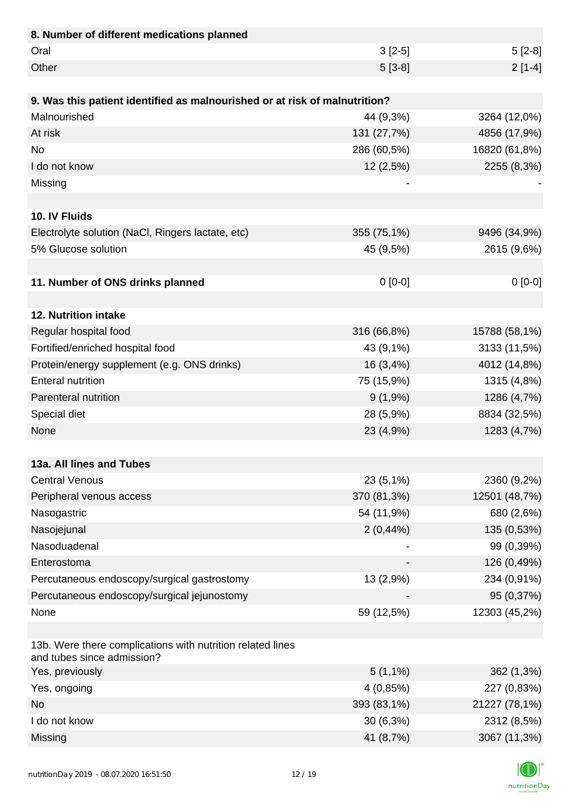| 8. Number of different medications planned                                               |             |               |
|------------------------------------------------------------------------------------------|-------------|---------------|
| Oral                                                                                     | $3[2-5]$    | $5[2-8]$      |
| Other                                                                                    | $5[3-8]$    | $2[1-4]$      |
|                                                                                          |             |               |
| 9. Was this patient identified as malnourished or at risk of malnutrition?               |             |               |
| Malnourished                                                                             | 44 (9,3%)   | 3264 (12,0%)  |
| At risk                                                                                  | 131 (27,7%) | 4856 (17,9%)  |
| <b>No</b>                                                                                | 286 (60,5%) | 16820 (61,8%) |
| I do not know                                                                            | 12 (2,5%)   | 2255 (8,3%)   |
| Missing                                                                                  |             |               |
|                                                                                          |             |               |
| 10. IV Fluids                                                                            |             |               |
| Electrolyte solution (NaCl, Ringers lactate, etc)                                        | 355 (75,1%) | 9496 (34,9%)  |
| 5% Glucose solution                                                                      | 45 (9,5%)   | 2615 (9,6%)   |
|                                                                                          |             |               |
| 11. Number of ONS drinks planned                                                         | $0[0-0]$    | $0[0-0]$      |
|                                                                                          |             |               |
| 12. Nutrition intake                                                                     |             |               |
| Regular hospital food                                                                    | 316 (66,8%) | 15788 (58,1%) |
| Fortified/enriched hospital food                                                         | 43 (9,1%)   | 3133 (11,5%)  |
| Protein/energy supplement (e.g. ONS drinks)                                              | 16 (3,4%)   | 4012 (14,8%)  |
| <b>Enteral nutrition</b>                                                                 | 75 (15,9%)  | 1315 (4,8%)   |
| Parenteral nutrition                                                                     | $9(1,9\%)$  | 1286 (4,7%)   |
| Special diet                                                                             | 28 (5,9%)   | 8834 (32,5%)  |
| None                                                                                     | 23 (4,9%)   | 1283 (4,7%)   |
|                                                                                          |             |               |
| 13a. All lines and Tubes                                                                 |             |               |
| <b>Central Venous</b>                                                                    | 23 (5,1%)   | 2360 (9,2%)   |
| Peripheral venous access                                                                 | 370 (81,3%) | 12501 (48,7%) |
| Nasogastric                                                                              | 54 (11,9%)  | 680 (2,6%)    |
| Nasojejunal                                                                              | 2(0,44%     | 135 (0,53%)   |
| Nasoduadenal                                                                             |             | 99 (0,39%)    |
| Enterostoma                                                                              |             | 126 (0,49%)   |
| Percutaneous endoscopy/surgical gastrostomy                                              | 13 (2,9%)   | 234 (0,91%)   |
| Percutaneous endoscopy/surgical jejunostomy                                              |             | 95 (0,37%)    |
| None                                                                                     | 59 (12,5%)  | 12303 (45,2%) |
|                                                                                          |             |               |
| 13b. Were there complications with nutrition related lines<br>and tubes since admission? |             |               |
| Yes, previously                                                                          | $5(1,1\%)$  | 362 (1,3%)    |
| Yes, ongoing                                                                             | 4 (0,85%)   | 227 (0,83%)   |
| <b>No</b>                                                                                | 393 (83,1%) | 21227 (78,1%) |
| I do not know                                                                            | $30(6,3\%)$ | 2312 (8,5%)   |
| Missing                                                                                  | 41 (8,7%)   | 3067 (11,3%)  |

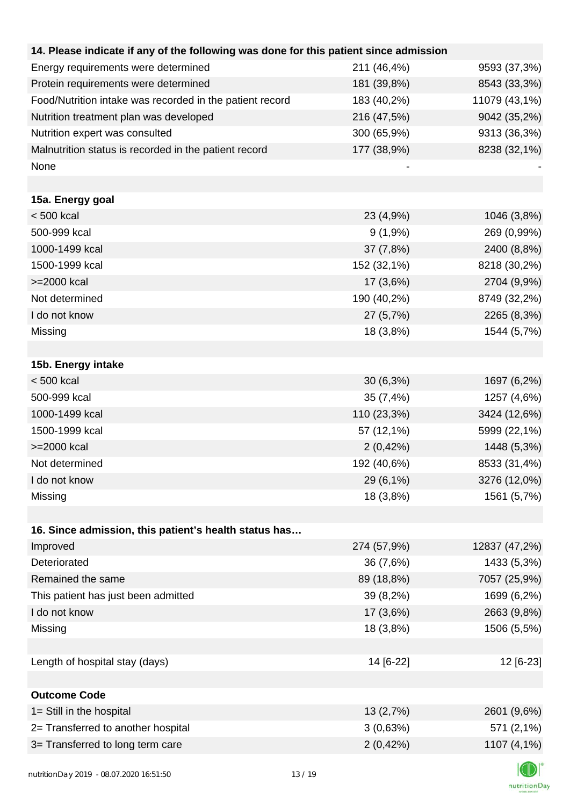| 14. Please indicate if any of the following was done for this patient since admission |             |               |
|---------------------------------------------------------------------------------------|-------------|---------------|
| Energy requirements were determined                                                   | 211 (46,4%) | 9593 (37,3%)  |
| Protein requirements were determined                                                  | 181 (39,8%) | 8543 (33,3%)  |
| Food/Nutrition intake was recorded in the patient record                              | 183 (40,2%) | 11079 (43,1%) |
| Nutrition treatment plan was developed                                                | 216 (47,5%) | 9042 (35,2%)  |
| Nutrition expert was consulted                                                        | 300 (65,9%) | 9313 (36,3%)  |
| Malnutrition status is recorded in the patient record                                 | 177 (38,9%) | 8238 (32,1%)  |
| None                                                                                  |             |               |
|                                                                                       |             |               |
| 15a. Energy goal                                                                      |             |               |
| < 500 kcal                                                                            | 23 (4,9%)   | 1046 (3,8%)   |
| 500-999 kcal                                                                          | $9(1,9\%)$  | 269 (0,99%)   |
| 1000-1499 kcal                                                                        | 37 (7,8%)   | 2400 (8,8%)   |
| 1500-1999 kcal                                                                        | 152 (32,1%) | 8218 (30,2%)  |
| >=2000 kcal                                                                           | $17(3,6\%)$ | 2704 (9,9%)   |
| Not determined                                                                        | 190 (40,2%) | 8749 (32,2%)  |
| I do not know                                                                         | 27 (5,7%)   | 2265 (8,3%)   |
| Missing                                                                               | 18 (3,8%)   | 1544 (5,7%)   |
|                                                                                       |             |               |
| 15b. Energy intake                                                                    |             |               |
| < 500 kcal                                                                            | $30(6,3\%)$ | 1697 (6,2%)   |
| 500-999 kcal                                                                          | 35 (7,4%)   | 1257 (4,6%)   |
| 1000-1499 kcal                                                                        | 110 (23,3%) | 3424 (12,6%)  |
| 1500-1999 kcal                                                                        | 57 (12,1%)  | 5999 (22,1%)  |
| >=2000 kcal                                                                           | 2(0,42%)    | 1448 (5,3%)   |
| Not determined                                                                        | 192 (40,6%) | 8533 (31,4%)  |
| I do not know                                                                         | 29 (6,1%)   | 3276 (12,0%)  |
| Missing                                                                               | 18 (3,8%)   | 1561 (5,7%)   |
|                                                                                       |             |               |
| 16. Since admission, this patient's health status has                                 |             |               |
| Improved                                                                              | 274 (57,9%) | 12837 (47,2%) |
| Deteriorated                                                                          | 36 (7,6%)   | 1433 (5,3%)   |
| Remained the same                                                                     | 89 (18,8%)  | 7057 (25,9%)  |
| This patient has just been admitted                                                   | 39 (8,2%)   | 1699 (6,2%)   |
| I do not know                                                                         | 17 (3,6%)   | 2663 (9,8%)   |
| Missing                                                                               | 18 (3,8%)   | 1506 (5,5%)   |
|                                                                                       |             |               |
| Length of hospital stay (days)                                                        | 14 [6-22]   | 12 [6-23]     |
|                                                                                       |             |               |
| <b>Outcome Code</b>                                                                   |             |               |
|                                                                                       |             |               |
| 1= Still in the hospital                                                              | 13(2,7%)    | 2601 (9,6%)   |
| 2= Transferred to another hospital                                                    | 3(0,63%)    | 571 (2,1%)    |
| 3= Transferred to long term care                                                      | 2(0,42%)    | 1107 (4,1%)   |
|                                                                                       |             |               |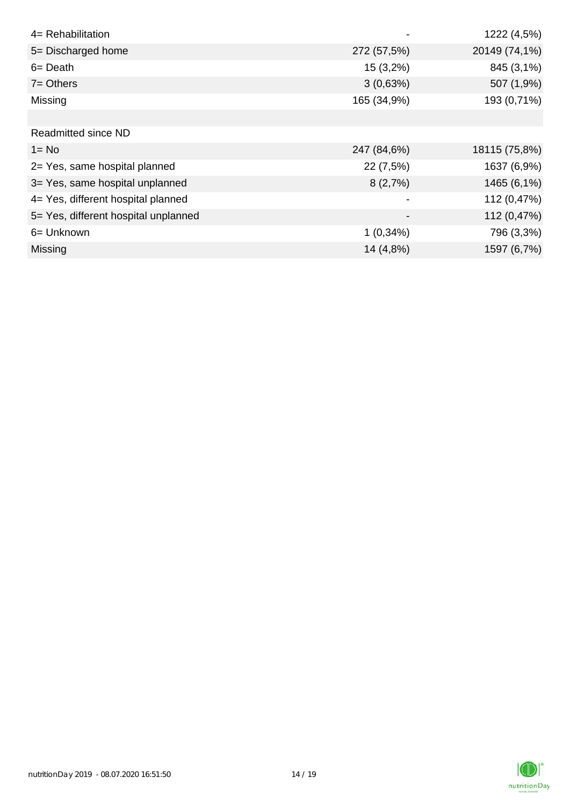| 4= Rehabilitation                    |             | 1222 (4,5%)   |
|--------------------------------------|-------------|---------------|
| 5= Discharged home                   | 272 (57,5%) | 20149 (74,1%) |
| $6 = Death$                          | $15(3,2\%)$ | 845 (3,1%)    |
| $7 =$ Others                         | 3(0,63%)    | 507 (1,9%)    |
| Missing                              | 165 (34,9%) | 193 (0,71%)   |
|                                      |             |               |
| <b>Readmitted since ND</b>           |             |               |
| $1 = No$                             | 247 (84,6%) | 18115 (75,8%) |
| 2= Yes, same hospital planned        | 22 (7,5%)   | 1637 (6,9%)   |
| 3= Yes, same hospital unplanned      | 8(2,7%)     | 1465 (6,1%)   |
| 4= Yes, different hospital planned   |             | 112 (0,47%)   |
| 5= Yes, different hospital unplanned |             | 112 (0,47%)   |
| 6= Unknown                           | $1(0,34\%)$ | 796 (3,3%)    |
| <b>Missing</b>                       | 14 (4,8%)   | 1597 (6,7%)   |

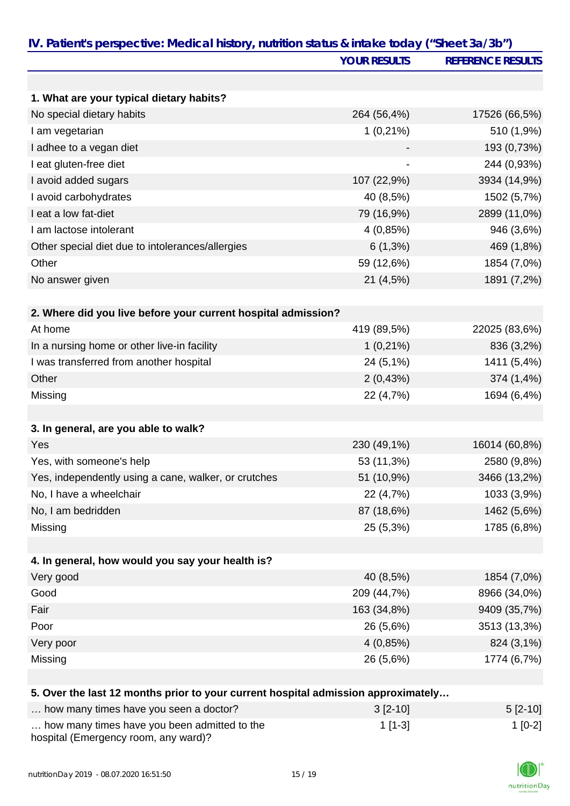|                                                                                   | <b>YOUR RESULTS</b> | <b>REFERENCE RESULTS</b> |
|-----------------------------------------------------------------------------------|---------------------|--------------------------|
|                                                                                   |                     |                          |
| 1. What are your typical dietary habits?                                          |                     |                          |
| No special dietary habits                                                         | 264 (56,4%)         | 17526 (66,5%)            |
| I am vegetarian                                                                   | $1(0,21\%)$         | 510 (1,9%)               |
| I adhee to a vegan diet                                                           |                     | 193 (0,73%)              |
| I eat gluten-free diet                                                            |                     | 244 (0,93%)              |
| I avoid added sugars                                                              | 107 (22,9%)         | 3934 (14,9%)             |
| I avoid carbohydrates                                                             | 40 (8,5%)           | 1502 (5,7%)              |
| I eat a low fat-diet                                                              | 79 (16,9%)          | 2899 (11,0%)             |
| I am lactose intolerant                                                           | 4(0,85%)            | 946 (3,6%)               |
| Other special diet due to intolerances/allergies                                  | $6(1,3\%)$          | 469 (1,8%)               |
| Other                                                                             | 59 (12,6%)          | 1854 (7,0%)              |
| No answer given                                                                   | 21 (4,5%)           | 1891 (7,2%)              |
| 2. Where did you live before your current hospital admission?                     |                     |                          |
| At home                                                                           | 419 (89,5%)         | 22025 (83,6%)            |
| In a nursing home or other live-in facility                                       | $1(0,21\%)$         | 836 (3,2%)               |
| I was transferred from another hospital                                           | 24 (5,1%)           | 1411 (5,4%)              |
| Other                                                                             | 2(0,43%)            | 374 (1,4%)               |
| Missing                                                                           | 22 (4,7%)           | 1694 (6,4%)              |
| 3. In general, are you able to walk?                                              |                     |                          |
| Yes                                                                               | 230 (49,1%)         | 16014 (60,8%)            |
| Yes, with someone's help                                                          | 53 (11,3%)          | 2580 (9,8%)              |
| Yes, independently using a cane, walker, or crutches                              | 51 (10,9%)          | 3466 (13,2%)             |
| No, I have a wheelchair                                                           | 22 (4,7%)           | 1033 (3,9%)              |
| No, I am bedridden                                                                | 87 (18,6%)          | 1462 (5,6%)              |
| Missing                                                                           | 25 (5,3%)           | 1785 (6,8%)              |
|                                                                                   |                     |                          |
| 4. In general, how would you say your health is?                                  |                     |                          |
| Very good                                                                         | 40 (8,5%)           | 1854 (7,0%)              |
| Good                                                                              | 209 (44,7%)         | 8966 (34,0%)             |
| Fair                                                                              | 163 (34,8%)         | 9409 (35,7%)             |
| Poor                                                                              | 26 (5,6%)           | 3513 (13,3%)             |
| Very poor                                                                         | 4(0,85%)            | 824 (3,1%)               |
| Missing                                                                           | 26 (5,6%)           | 1774 (6,7%)              |
| 5. Over the last 12 months prior to your current hospital admission approximately |                     |                          |
| how many times have you seen a doctor?                                            | 2I210               | F <sub>10</sub> 101      |

| how many times have you seen a doctor?                                               | $3$ [2-10] | $5 [2 - 10]$ |
|--------------------------------------------------------------------------------------|------------|--------------|
| how many times have you been admitted to the<br>hospital (Emergency room, any ward)? | $1$ [1-3]  | $1$ [0-2]    |

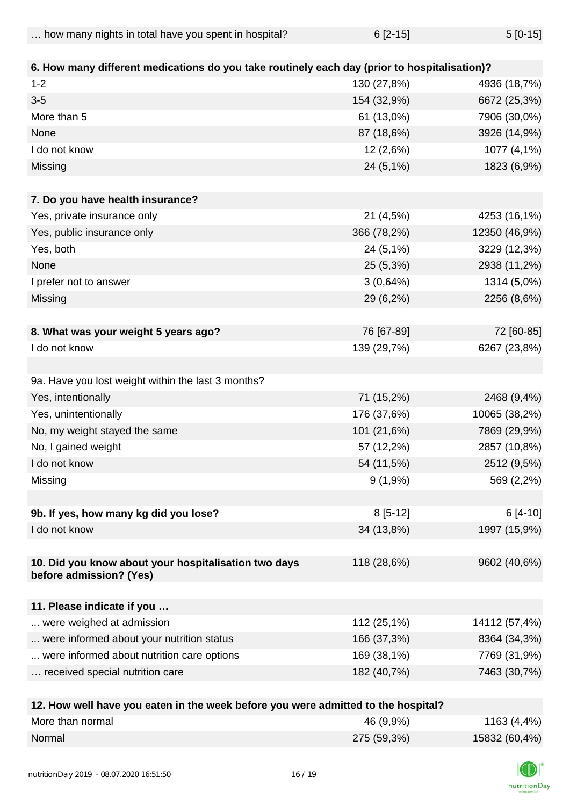| how many nights in total have you spent in hospital? | $6[2-15]$ | $5[0-15]$ |
|------------------------------------------------------|-----------|-----------|
|------------------------------------------------------|-----------|-----------|

| 6. How many different medications do you take routinely each day (prior to hospitalisation)? |                           |                              |
|----------------------------------------------------------------------------------------------|---------------------------|------------------------------|
| $1 - 2$                                                                                      |                           |                              |
| $3 - 5$                                                                                      | 130 (27,8%)               | 4936 (18,7%)                 |
| More than 5                                                                                  | 154 (32,9%)<br>61 (13,0%) | 6672 (25,3%)<br>7906 (30,0%) |
| None                                                                                         |                           |                              |
|                                                                                              | 87 (18,6%)                | 3926 (14,9%)                 |
| I do not know                                                                                | 12 (2,6%)                 | 1077 (4,1%)                  |
| Missing                                                                                      | 24 (5,1%)                 | 1823 (6,9%)                  |
| 7. Do you have health insurance?                                                             |                           |                              |
| Yes, private insurance only                                                                  | 21 (4,5%)                 | 4253 (16,1%)                 |
| Yes, public insurance only                                                                   | 366 (78,2%)               | 12350 (46,9%)                |
| Yes, both                                                                                    | 24 (5,1%)                 | 3229 (12,3%)                 |
| None                                                                                         | 25 (5,3%)                 | 2938 (11,2%)                 |
| I prefer not to answer                                                                       | 3(0,64%)                  | 1314 (5,0%)                  |
| Missing                                                                                      | 29 (6,2%)                 | 2256 (8,6%)                  |
|                                                                                              |                           |                              |
| 8. What was your weight 5 years ago?                                                         | 76 [67-89]                | 72 [60-85]                   |
| I do not know                                                                                | 139 (29,7%)               | 6267 (23,8%)                 |
|                                                                                              |                           |                              |
| 9a. Have you lost weight within the last 3 months?                                           |                           |                              |
| Yes, intentionally                                                                           | 71 (15,2%)                | 2468 (9,4%)                  |
| Yes, unintentionally                                                                         | 176 (37,6%)               | 10065 (38,2%)                |
| No, my weight stayed the same                                                                | 101 (21,6%)               | 7869 (29,9%)                 |
| No, I gained weight                                                                          | 57 (12,2%)                | 2857 (10,8%)                 |
| I do not know                                                                                | 54 (11,5%)                | 2512 (9,5%)                  |
| Missing                                                                                      | $9(1,9\%)$                | 569 (2,2%)                   |
|                                                                                              |                           |                              |
| 9b. If yes, how many kg did you lose?                                                        | $8[5-12]$                 | 6 [4-10]                     |
| I do not know                                                                                | 34 (13,8%)                | 1997 (15,9%)                 |
|                                                                                              |                           |                              |
| 10. Did you know about your hospitalisation two days                                         | 118 (28,6%)               | 9602 (40,6%)                 |
| before admission? (Yes)                                                                      |                           |                              |
| 11. Please indicate if you                                                                   |                           |                              |
| were weighed at admission                                                                    | 112 (25,1%)               | 14112 (57,4%)                |
| were informed about your nutrition status                                                    | 166 (37,3%)               | 8364 (34,3%)                 |
|                                                                                              | 169 (38,1%)               |                              |
| were informed about nutrition care options<br>received special nutrition care                | 182 (40,7%)               | 7769 (31,9%)<br>7463 (30,7%) |
|                                                                                              |                           |                              |
| 12 How wall have value aton in the week before you were admitted to the bosnital?            |                           |                              |

| iz. How well have you eaten in the week before you were admitted to the hospital? |             |               |
|-----------------------------------------------------------------------------------|-------------|---------------|
| More than normal                                                                  | 46 (9,9%)   | 1163 (4,4%)   |
| Normal                                                                            | 275 (59,3%) | 15832 (60,4%) |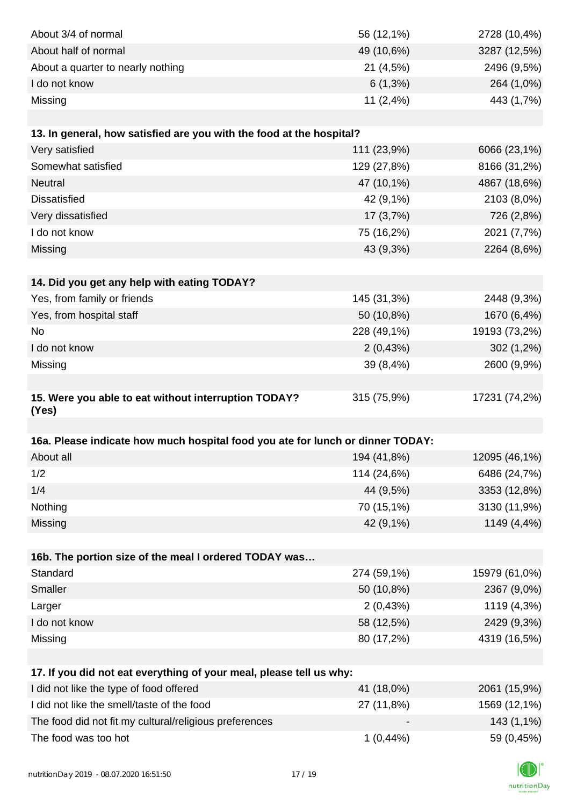| About 3/4 of normal                                                            | 56 (12,1%)  | 2728 (10,4%)  |
|--------------------------------------------------------------------------------|-------------|---------------|
| About half of normal                                                           | 49 (10,6%)  | 3287 (12,5%)  |
| About a quarter to nearly nothing                                              | 21 (4,5%)   | 2496 (9,5%)   |
| I do not know                                                                  | $6(1,3\%)$  | 264 (1,0%)    |
| Missing                                                                        | 11(2,4%)    | 443 (1,7%)    |
|                                                                                |             |               |
| 13. In general, how satisfied are you with the food at the hospital?           |             |               |
| Very satisfied                                                                 | 111 (23,9%) | 6066 (23,1%)  |
| Somewhat satisfied                                                             | 129 (27,8%) | 8166 (31,2%)  |
| Neutral                                                                        | 47 (10,1%)  | 4867 (18,6%)  |
| <b>Dissatisfied</b>                                                            | 42 (9,1%)   | 2103 (8,0%)   |
| Very dissatisfied                                                              | 17(3,7%)    | 726 (2,8%)    |
| I do not know                                                                  | 75 (16,2%)  | 2021 (7,7%)   |
| Missing                                                                        | 43 (9,3%)   | 2264 (8,6%)   |
|                                                                                |             |               |
| 14. Did you get any help with eating TODAY?                                    |             |               |
| Yes, from family or friends                                                    | 145 (31,3%) | 2448 (9,3%)   |
| Yes, from hospital staff                                                       | 50 (10,8%)  | 1670 (6,4%)   |
| <b>No</b>                                                                      | 228 (49,1%) | 19193 (73,2%) |
| I do not know                                                                  | 2(0,43%)    | 302 (1,2%)    |
| Missing                                                                        | 39 (8,4%)   | 2600 (9,9%)   |
|                                                                                |             |               |
| 15. Were you able to eat without interruption TODAY?<br>(Yes)                  | 315 (75,9%) | 17231 (74,2%) |
|                                                                                |             |               |
| 16a. Please indicate how much hospital food you ate for lunch or dinner TODAY: |             |               |
| About all                                                                      | 194 (41,8%) | 12095 (46,1%) |
| 1/2                                                                            | 114 (24,6%) | 6486 (24,7%)  |
| 1/4                                                                            | 44 (9,5%)   | 3353 (12,8%)  |
| Nothing                                                                        | 70 (15,1%)  | 3130 (11,9%)  |
| Missing                                                                        | 42 (9,1%)   | 1149 (4,4%)   |
|                                                                                |             |               |
| 16b. The portion size of the meal I ordered TODAY was                          |             |               |
| Standard                                                                       | 274 (59,1%) | 15979 (61,0%) |
| Smaller                                                                        | 50 (10,8%)  | 2367 (9,0%)   |
| Larger                                                                         | 2(0,43%)    | 1119 (4,3%)   |
| I do not know                                                                  | 58 (12,5%)  | 2429 (9,3%)   |
| Missing                                                                        | 80 (17,2%)  | 4319 (16,5%)  |
|                                                                                |             |               |
| 17. If you did not eat everything of your meal, please tell us why:            |             |               |
| I did not like the type of food offered                                        | 41 (18,0%)  | 2061 (15,9%)  |
| I did not like the smell/taste of the food                                     | 27 (11,8%)  | 1569 (12,1%)  |
| The food did not fit my cultural/religious preferences                         |             | 143 (1,1%)    |
| The food was too hot                                                           | $1(0,44\%)$ | 59 (0,45%)    |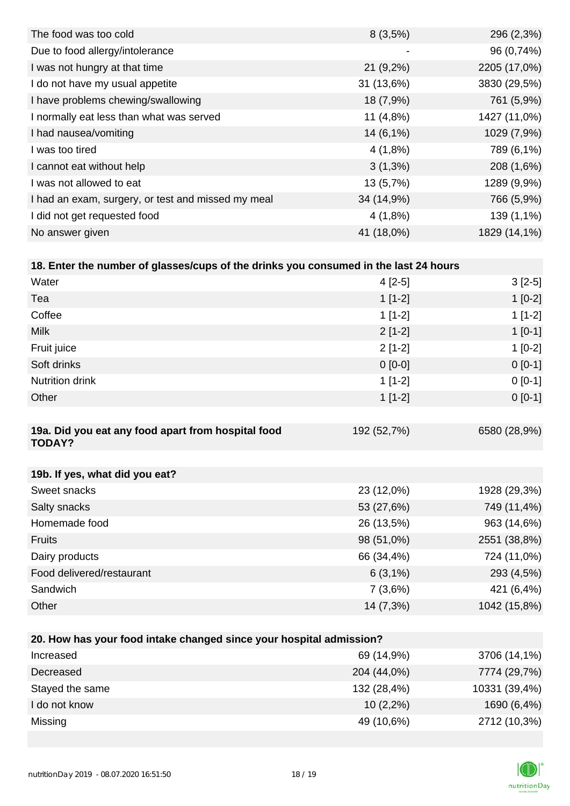| $8(3,5\%)$  | 296 (2,3%)   |
|-------------|--------------|
| -           | 96 (0,74%)   |
| $21(9,2\%)$ | 2205 (17,0%) |
| 31(13,6%)   | 3830 (29,5%) |
| 18 (7,9%)   | 761 (5,9%)   |
| 11 $(4,8%)$ | 1427 (11,0%) |
| $14(6,1\%)$ | 1029 (7,9%)  |
| 4(1,8%)     | 789 (6,1%)   |
| $3(1,3\%)$  | 208 (1,6%)   |
| 13(5,7%)    | 1289 (9,9%)  |
| 34 (14,9%)  | 766 (5,9%)   |
| 4(1,8%)     | 139 (1,1%)   |
| 41 (18,0%)  | 1829 (14,1%) |
|             |              |

| 18. Enter the number of glasses/cups of the drinks you consumed in the last 24 hours |             |              |
|--------------------------------------------------------------------------------------|-------------|--------------|
| Water                                                                                | $4[2-5]$    | $3[2-5]$     |
| Tea                                                                                  | $1[1-2]$    | $1[0-2]$     |
| Coffee                                                                               | $1$ [1-2]   | $1[1-2]$     |
| <b>Milk</b>                                                                          | $2[1-2]$    | $1$ [0-1]    |
| Fruit juice                                                                          | $2[1-2]$    | $1[0-2]$     |
| Soft drinks                                                                          | $0 [0-0]$   | $0[0-1]$     |
| <b>Nutrition drink</b>                                                               | $1$ [1-2]   | $0[0-1]$     |
| Other                                                                                | $1$ [1-2]   | $0 [0-1]$    |
|                                                                                      |             |              |
| 19a. Did you eat any food apart from hospital food<br><b>TODAY?</b>                  | 192 (52,7%) | 6580 (28,9%) |
|                                                                                      |             |              |
| 19b. If yes, what did you eat?                                                       |             |              |

| Sweet snacks              | 23 (12,0%)  | 1928 (29,3%) |
|---------------------------|-------------|--------------|
| Salty snacks              | 53 (27,6%)  | 749 (11,4%)  |
| Homemade food             | 26 (13,5%)  | 963 (14,6%)  |
| <b>Fruits</b>             | 98 (51,0%)  | 2551 (38,8%) |
| Dairy products            | 66 (34,4%)  | 724 (11,0%)  |
| Food delivered/restaurant | $6(3,1\%)$  | 293 (4,5%)   |
| Sandwich                  | 7(3,6%)     | 421 (6,4%)   |
| Other                     | $14(7,3\%)$ | 1042 (15,8%) |

| 20. How has your food intake changed since your hospital admission? |             |               |  |  |
|---------------------------------------------------------------------|-------------|---------------|--|--|
| Increased                                                           | 69 (14,9%)  | 3706 (14,1%)  |  |  |
| Decreased                                                           | 204 (44,0%) | 7774 (29,7%)  |  |  |
| Stayed the same                                                     | 132 (28,4%) | 10331 (39,4%) |  |  |
| I do not know                                                       | $10(2,2\%)$ | 1690 (6,4%)   |  |  |
| Missing                                                             | 49 (10,6%)  | 2712 (10,3%)  |  |  |